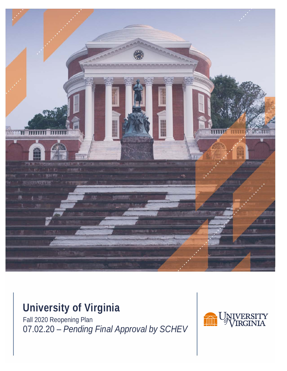

# **University of Virginia**

Fall 2020 Reopening Plan 07.02.20 – *Pending Final Approval by SCHEV*

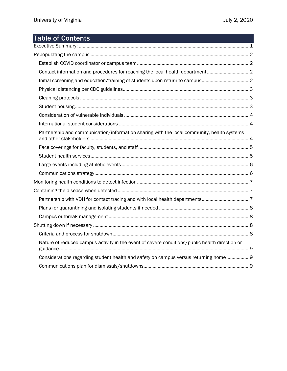## Table of Contents

| Contact information and procedures for reaching the local health department2                   |  |
|------------------------------------------------------------------------------------------------|--|
| Initial screening and education/training of students upon return to campus2                    |  |
|                                                                                                |  |
|                                                                                                |  |
|                                                                                                |  |
|                                                                                                |  |
|                                                                                                |  |
| Partnership and communication/information sharing with the local community, health systems     |  |
|                                                                                                |  |
|                                                                                                |  |
|                                                                                                |  |
|                                                                                                |  |
|                                                                                                |  |
|                                                                                                |  |
| Partnership with VDH for contact tracing and with local health departments7                    |  |
|                                                                                                |  |
|                                                                                                |  |
|                                                                                                |  |
|                                                                                                |  |
| Nature of reduced campus activity in the event of severe conditions/public health direction or |  |
| Considerations regarding student health and safety on campus versus returning home 9           |  |
|                                                                                                |  |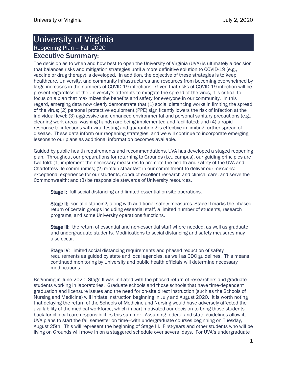## University of Virginia Reopening Plan – Fall 2020

## <span id="page-2-0"></span>Executive Summary:

The decision as to when and how best to open the University of Virginia (UVA) is ultimately a decision that balances risks and mitigation strategies until a more definitive solution to COVID-19 (e.g., vaccine or drug therapy) is developed. In addition, the objective of these strategies is to keep healthcare, University, and community infrastructures and resources from becoming overwhelmed by large increases in the numbers of COVID-19 infections. Given that risks of COVID-19 infection will be present regardless of the University's attempts to mitigate the spread of the virus, it is critical to focus on a plan that maximizes the benefits and safety for everyone in our community. In this regard, emerging data now clearly demonstrate that (1) social distancing works in limiting the spread of the virus; (2) personal protective equipment (PPE) significantly lowers the risk of infection at the individual level; (3) aggressive and enhanced environmental and personal sanitary precautions (e.g., cleaning work areas, washing hands) are being implemented and facilitated; and (4) a rapid response to infections with viral testing and quarantining is effective in limiting further spread of disease. These data inform our reopening strategies, and we will continue to incorporate emerging lessons to our plans as additional information becomes available.

Guided by public health requirements and recommendations, UVA has developed a staged reopening plan. Throughout our preparations for returning to Grounds (i.e., campus), our guiding principles are two-fold: (1) implement the necessary measures to promote the health and safety of the UVA and Charlottesville communities; (2) remain steadfast in our commitment to deliver our missions: exceptional experience for our students, conduct excellent research and clinical care, and serve the Commonwealth; and (3) be responsible stewards of University resources.

Stage I: full social distancing and limited essential on-site operations.

Stage II: social distancing, along with additional safety measures. Stage II marks the phased return of certain groups including essential staff, a limited number of students, research programs, and some University operations functions.

Stage III: the return of essential and non-essential staff where needed, as well as graduate and undergraduate students. Modifications to social distancing and safety measures may also occur.

Stage IV: limited social distancing requirements and phased reduction of safety requirements as guided by state and local agencies, as well as CDC guidelines. This means continued monitoring by University and public health officials will determine necessary modifications.

Beginning in June 2020, Stage II was initiated with the phased return of researchers and graduate students working in laboratories. Graduate schools and those schools that have time-dependent graduation and licensure issues and the need for on-site direct instruction (such as the Schools of Nursing and Medicine) will initiate instruction beginning in July and August 2020. It is worth noting that delaying the return of the Schools of Medicine and Nursing would have adversely affected the availability of the medical workforce, which in part motivated our decision to bring those students back for clinical care responsibilities this summer. Assuming federal and state guidelines allow it, UVA plans to start the fall semester on time—with undergraduate courses beginning on Tuesday, August 25th. This will represent the beginning of Stage III. First-years and other students who will be living on Grounds will move in on a staggered schedule over several days. For UVA's undergraduate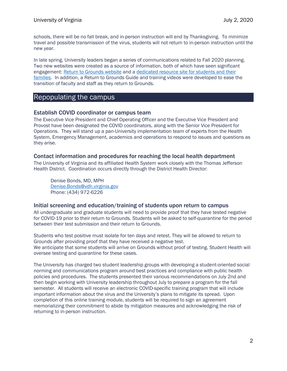schools, there will be no fall break, and in-person instruction will end by Thanksgiving. To minimize travel and possible transmission of the virus, students will not return to in-person instruction until the new year.

In late spring, University leaders began a series of communications related to Fall 2020 planning. Two new websites were created as a source of information, both of which have seen significant engagement: [Return to Grounds website](https://returntogrounds.virginia.edu/) and a [dedicated resource site for students and their](https://studentsongrounds.virginia.edu/)  [families.](https://studentsongrounds.virginia.edu/) In addition, a Return to Grounds Guide and training videos were developed to ease the transition of faculty and staff as they return to Grounds.

## <span id="page-3-0"></span>Repopulating the campus

#### <span id="page-3-1"></span>Establish COVID coordinator or campus team

The Executive Vice President and Chief Operating Officer and the Executive Vice President and Provost have been designated the COVID coordinators, along with the Senior Vice President for Operations. They will stand up a pan-University implementation team of experts from the Health System, Emergency Management, academics and operations to respond to issues and questions as they arise.

#### <span id="page-3-2"></span>Contact information and procedures for reaching the local health department

The University of Virginia and its affiliated Health System work closely with the Thomas Jefferson Health District. Coordination occurs directly through the District Health Director:

Denise Bonds, MD, MPH [Denise.Bonds@vdh.virginia.gov](mailto:Denise.Bonds@vdh.virginia.gov) Phone: (434) 972-6226

#### <span id="page-3-3"></span>Initial screening and education/training of students upon return to campus

All undergraduate and graduate students will need to provide proof that they have tested negative for COVID-19 prior to their return to Grounds. Students will be asked to self-quarantine for the period between their test submission and their return to Grounds.

Students who test positive must isolate for ten days and retest. They will be allowed to return to Grounds after providing proof that they have received a negative test. We anticipate that some students will arrive on Grounds without proof of testing. Student Health will oversee testing and quarantine for these cases.

The University has charged two student leadership groups with developing a student-oriented social norming and communications program around best practices and compliance with public health policies and procedures. The students presented their various recommendations on July 2nd and then begin working with University leadership throughout July to prepare a program for the fall semester. All students will receive an electronic COVID-specific training program that will include important information about the virus and the University's plans to mitigate its spread. Upon completion of this online training module, students will be required to sign an agreement memorializing their commitment to abide by mitigation measures and acknowledging the risk of returning to in-person instruction.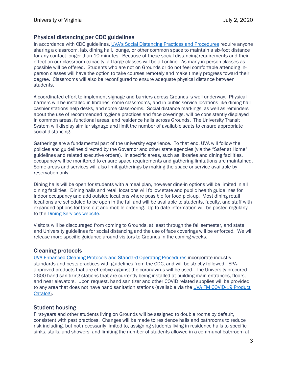#### <span id="page-4-0"></span>Physical distancing per CDC guidelines

In accordance with CDC guidelines, [UVA's Social Distancing Practices and Procedures](https://returntogrounds.virginia.edu/sites/coronavirus/files/SocialDistancing_2020_onepager.pdf) require anyone sharing a classroom, lab, dining hall, lounge, or other common space to maintain a six-foot distance for any contact longer than 10 minutes. Because of these social distancing requirements and their effect on our classroom capacity, all large classes will be all online. As many in-person classes as possible will be offered. Students who are not on Grounds or do not feel comfortable attending inperson classes will have the option to take courses remotely and make timely progress toward their degree. Classrooms will also be reconfigured to ensure adequate physical distance between students.

A coordinated effort to implement signage and barriers across Grounds is well underway. Physical barriers will be installed in libraries, some classrooms, and in public-service locations like dining hall cashier stations help desks, and some classrooms. Social distance markings, as well as reminders about the use of recommended hygiene practices and face coverings, will be consistently displayed in common areas, functional areas, and residence halls across Grounds. The University Transit System will display similar signage and limit the number of available seats to ensure appropriate social distancing.

Gatherings are a fundamental part of the university experience. To that end, UVA will follow the policies and guidelines directed by the Governor and other state agencies (via the "Safer at Home" guidelines and related executive orders). In specific areas, such as libraries and dining facilities, occupancy will be monitored to ensure space requirements and gathering limitations are maintained. Some areas and services will also limit gatherings by making the space or service available by reservation only.

Dining halls will be open for students with a meal plan, however dine-in options will be limited in all dining facilities. Dining halls and retail locations will follow state and public health guidelines for indoor occupancy and add outside locations where possible for food pick-up. Most dining retail locations are scheduled to be open in the fall and will be available to students, faculty, and staff with expanded options for take-out and mobile ordering. Up-to-date information will be posted regularly to the [Dining Services website.](https://virginia.campusdish.com/)

Visitors will be discouraged from coming to Grounds, at least through the fall semester, and state and University guidelines for social distancing and the use of face coverings will be enforced. We will release more specific guidance around visitors to Grounds in the coming weeks.

#### <span id="page-4-1"></span>Cleaning protocols

[UVA Enhanced Cleaning Protocols and Standard Operating Procedures](https://www.fm.virginia.edu/docs/covid/EnhancedCleaningProtocols.pdf) incorporate industry standards and bests practices with guidelines from the CDC, and will be strictly followe[d.](https://www.fm.virginia.edu/docs/covid/EnhancedCleaningProtocols.pdf) EPAapproved products that are effective against the coronavirus will be used. The University procured 2600 hand sanitizing stations that are currently being installed at building main entrances, floors, and near elevators. Upon request, hand sanitizer and other COVID related supplies will be provided to any area that does not have hand sanitation stations (available via th[e UVA FM COVID-19 Product](https://www.fm.virginia.edu/docs/services/signshop/COVIDproducts_UVAFMSignShop20200526.pdf) [Catalog\)](https://www.fm.virginia.edu/docs/services/signshop/COVIDproducts_UVAFMSignShop20200526.pdf).

#### <span id="page-4-2"></span>Student housing

First-years and other students living on Grounds will be assigned to double rooms by default, consistent with past practices. Changes will be made to residence halls and bathrooms to reduce risk including, but not necessarily limited to, assigning students living in residence halls to specific sinks, stalls, and showers; and limiting the number of students allowed in a communal bathroom at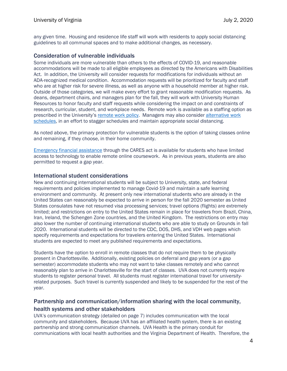any given time. Housing and residence life staff will work with residents to apply social distancing guidelines to all communal spaces and to make additional changes, as necessary.

#### <span id="page-5-0"></span>Consideration of vulnerable individuals

Some individuals are more vulnerable than others to the effects of COVID-19, and reasonable accommodations will be made to all eligible employees as directed by the Americans with Disabilities Act. In addition, the University will consider requests for modifications for individuals without an ADA-recognized medical condition. Accommodation requests will be prioritized for faculty and staff who are at higher risk for severe illness, as well as anyone with a household member at higher risk. Outside of those categories, we will make every effort to grant reasonable modification requests. As deans, department chairs, and managers plan for the fall, they will work with University Human Resources to honor faculty and staff requests while considering the impact on and constraints of research, curricular, student, and workplace needs. Remote work is available as a staffing option as prescribed in the University's [remote work policy.](https://uvapolicy.virginia.edu/policy/HRM-013) Managers may also consider [alternative work](https://uvapolicy.virginia.edu/policy/HRM-012)  [schedules,](https://uvapolicy.virginia.edu/policy/HRM-012) in an effort to stagger schedules and maintain appropriate social distancing.

As noted above, the primary protection for vulnerable students is the option of taking classes online and remaining, if they choose, in their home community.

[Emergency financial assistance](https://studentsongrounds.virginia.edu/cares-act) through the CARES act is available for students who have limited access to technology to enable remote online coursework. As in previous years, students are also permitted to request a gap year.

#### <span id="page-5-1"></span>International student considerations

New and continuing international students will be subject to University, state, and federal requirements and policies implemented to manage Covid-19 and maintain a safe learning environment and community. At present only new international students who are already in the United States can reasonably be expected to arrive in person for the fall 2020 semester as United States consulates have not resumed visa processing services; travel options (flights) are extremely limited; and restrictions on entry to the United States remain in place for travelers from Brazil, China, Iran, Ireland, the Schengen Zone countries, and the United Kingdom. The restrictions on entry may also lower the number of continuing international students who are able to study on Grounds in fall 2020. International students will be directed to the CDC, DOS, DHS, and VDH web pages which specify requirements and expectations for travelers entering the United States. International students are expected to meet any published requirements and expectations.

Students have the option to enroll in remote classes that do not require them to be physically present in Charlottesville. Additionally, existing policies on deferral and gap years (or a gap semester) accommodate students who may not want to take classes remotely and who cannot reasonably plan to arrive in Charlottesville for the start of classes. UVA does not currently require students to register personal travel. All students must register international travel for universityrelated purposes. Such travel is currently suspended and likely to be suspended for the rest of the year.

#### <span id="page-5-2"></span>Partnership and communication/information sharing with the local community, health systems and other stakeholders

UVA's communication strategy (detailed on page 7) includes communication with the local community and stakeholders. Because UVA has an affiliated health system, there is an existing partnership and strong communication channels. UVA Health is the primary conduit for communications with local health authorities and the Virginia Department of Health. Therefore, the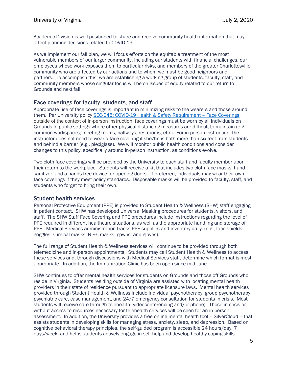Academic Division is well positioned to share and receive community health information that may affect planning decisions related to COVID-19.

As we implement our fall plan, we will focus efforts on the equitable treatment of the most vulnerable members of our larger community, including our students with financial challenges, our employees whose work exposes them to particular risks, and members of the greater Charlottesville community who are affected by our actions and to whom we must be good neighbors and partners. To accomplish this, we are establishing a working group of students, faculty, staff, and community members whose singular focus will be on issues of equity related to our return to Grounds and next fall.

#### <span id="page-6-0"></span>Face coverings for faculty, students, and staff

Appropriate use of face coverings is important in minimizing risks to the wearers and those around them. Per University policy [SEC-045: COVID-19 Health & Safety Requirement –](https://hr.virginia.edu/sites/default/files/PDFs/COVID/Policy%20SEC045-Face%20Coverings-FINAL-06.02.2020.pdf) Face Coverings, outside of the context of in-person instruction, face coverings must be worn by all individuals on Grounds in public settings where other physical distancing measures are difficult to maintain (e.g., common workspaces, meeting rooms, hallways, restrooms, etc.). For in-person instruction, the instructor does not need to wear a face covering if she/he is both more than six feet from students and behind a barrier (e.g., plexiglass). We will monitor public health conditions and consider changes to this policy, specifically around in-person instruction, as conditions evolve.

Two cloth face coverings will be provided by the University to each staff and faculty member upon their return to the workplace. Students will receive a kit that includes two cloth face masks, hand sanitizer, and a hands-free device for opening doors. If preferred, individuals may wear their own face coverings if they meet policy standards. Disposable masks will be provided to faculty, staff, and students who forget to bring their own.

#### <span id="page-6-1"></span>Student health services

Personal Protective Equipment (PPE) is provided to Student Health & Wellness (SHW) staff engaging in patient contact. SHW has developed Universal Masking procedures for students, visitors, and staff. The SHW Staff Face Covering and PPE procedures include instructions regarding the level of PPE required in different healthcare situations, as well as the appropriate handling and storage of PPE. Medical Services administration tracks PPE supplies and inventory daily. (e.g., face shields, goggles, surgical masks, N-95 masks, gowns, and gloves).

The full range of Student Health & Wellness services will continue to be provided through both telemedicine and in-person appointments. Students may call Student Health & Wellness to access these services and, through discussions with Medical Services staff, determine which format is most appropriate. In addition, the Immunization Clinic has been open since mid-June.

SHW continues to offer mental health services for students on Grounds and those off Grounds who reside in Virginia. Students residing outside of Virginia are assisted with locating mental health providers in their state of residence pursuant to appropriate licensure laws. Mental health services provided through Student Health & Wellness include individual psychotherapy, group psychotherapy, psychiatric care, case management, and 24/7 emergency consultation for students in crisis. Most students will receive care through telehealth (videoconferencing and/or phone). Those in crisis or without access to resources necessary for telehealth services will be seen for an in-person assessment. In addition, the University provides a free online mental health tool – SilverCloud – that assists students in developing skills for managing stress, anxiety, sleep, and depression. Based on cognitive behavioral therapy principles, the self-guided program is accessible 24 hours/day, 7 days/week, and helps students actively engage in self-help and develop healthy coping skills.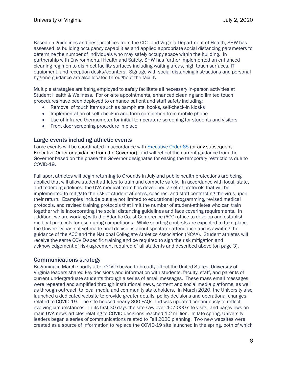Based on guidelines and best practices from the CDC and Virginia Department of Health, SHW has assessed its building occupancy capabilities and applied appropriate social distancing parameters to determine the number of individuals who may safely occupy space within the building. In partnership with Environmental Health and Safety, SHW has further implemented an enhanced cleaning regimen to disinfect facility surfaces including waiting areas, high touch surfaces, IT equipment, and reception desks/counters. Signage with social distancing instructions and personal hygiene guidance are also located throughout the facility.

Multiple strategies are being employed to safely facilitate all necessary in-person activities at Student Health & Wellness. For on-site appointments, enhanced cleaning and limited touch procedures have been deployed to enhance patient and staff safety including:

- Removal of touch items such as pamphlets, books, self-check-in kiosks
- Implementation of self-check-in and form completion from mobile phone
- Use of infrared thermometer for initial temperature screening for students and visitors
- Front door screening procedure in place

#### <span id="page-7-0"></span>Large events including athletic events

Large events will be coordinated in accordance with [Executive Order](https://www.governor.virginia.gov/media/governorvirginiagov/executive-actions/EO-65-and-Order-Of-Public-Health-Emergency-Six---AMENDED---Phase-Two-Easing-of-Certain-Temporary-Restrictions-Due-to-Novel-Coronavirus-(COVID-19).pdf) 65 (or any subsequent Executive Order or guidance from the Governor), and will reflect the current guidance from the Governor based on the phase the Governor designates for easing the temporary restrictions due to COVID-19.

Fall sport athletes will begin returning to Grounds in July and public health protections are being applied that will allow student athletes to train and compete safely. In accordance with local, state, and federal guidelines, the UVA medical team has developed a set of protocols that will be implemented to mitigate the risk of student-athletes, coaches, and staff contracting the virus upon their return. Examples include but are not limited to educational programming, revised medical protocols, and revised training protocols that limit the number of student-athletes who can train together while incorporating the social distancing guidelines and face covering requirements. In addition, we are working with the Atlantic Coast Conference (ACC) office to develop and establish medical protocols for use during competitions. While sporting contests are expected to take place, the University has not yet made final decisions about spectator attendance and is awaiting the guidance of the ACC and the National Collegiate Athletics Association (NCAA). Student athletes will receive the same COVID-specific training and be required to sign the risk mitigation and acknowledgement of risk agreement required of all students and described above (on page 3).

#### <span id="page-7-1"></span>Communications strategy

Beginning in March shortly after COVID began to broadly affect the United States, University of Virginia leaders shared key decisions and information with students, faculty, staff, and parents of current undergraduate students through a series of email messages. These mass email messages were repeated and amplified through institutional news, content and social media platforms, as well as through outreach to local media and community stakeholders. In March 2020, the University also launched a dedicated website to provide greater details, policy decisions and operational changes related to COVID-19. The site housed nearly 300 FAQs and was updated continuously to reflect evolving circumstances. In its first 30 days the site saw over 407,000 site visits, and pageviews on main UVA news articles relating to COVID decisions reached 1.2 million. In late spring, University leaders began a series of communications related to Fall 2020 planning. Two new websites were created as a source of information to replace the COVID-19 site launched in the spring, both of which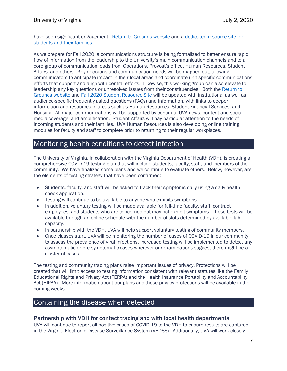have seen significant engagement: [Return to Grounds website](https://returntogrounds.virginia.edu/) and a [dedicated resource site for](https://studentsongrounds.virginia.edu/)  [students and their families.](https://studentsongrounds.virginia.edu/)

As we prepare for Fall 2020, a communications structure is being formalized to better ensure rapid flow of information from the leadership to the University's main communication channels and to a core group of communication leads from Operations, Provost's office, Human Resources, Student Affairs, and others. Key decisions and communication needs will be mapped out, allowing communicators to anticipate impact in their local areas and coordinate unit-specific communications efforts that support and align with central efforts. Likewise, this working group can also elevate to leadership any key questions or unresolved issues from their constituencies. Both th[e Return to](https://returntogrounds.virginia.edu/)  [Grounds website](https://returntogrounds.virginia.edu/) and [Fall 2020 Student Resource Site](https://studentsongrounds.virginia.edu/faqs/students) will be updated with institutional as well as audience-specific frequently asked questions (FAQs) and information, with links to deeper information and resources in areas such as Human Resources, Student Financial Services, and Housing. All major communications will be supported by continual UVA news, content and social media coverage, and amplification. Student Affairs will pay particular attention to the needs of incoming students and their families. UVA Human Resources is also developing online training modules for faculty and staff to complete prior to returning to their regular workplaces.

### <span id="page-8-0"></span>Monitoring health conditions to detect infection

The University of Virginia, in collaboration with the Virginia Department of Health (VDH), is creating a comprehensive COVID-19 testing plan that will include students, faculty, staff, and members of the community. We have finalized some plans and we continue to evaluate others. Below, however, are the elements of testing strategy that have been confirmed:

- Students, faculty, and staff will be asked to track their symptoms daily using a daily health check application.
- Testing will continue to be available to anyone who exhibits symptoms.
- In addition, voluntary testing will be made available for full-time faculty, staff, contract employees, and students who are concerned but may not exhibit symptoms. These tests will be available through an online schedule with the number of slots determined by available lab capacity.
- In partnership with the VDH, UVA will help support voluntary testing of community members.
- Once classes start, UVA will be monitoring the number of cases of COVID-19 in our community to assess the prevalence of viral infections. Increased testing will be implemented to detect any asymptomatic or pre-symptomatic cases wherever our examinations suggest there might be a cluster of cases.

The testing and community tracing plans raise important issues of privacy. Protections will be created that will limit access to testing information consistent with relevant statutes like the Family Educational Rights and Privacy Act (FERPA) and the Health Insurance Portability and Accountability Act (HIPAA). More information about our plans and these privacy protections will be available in the coming weeks.

### <span id="page-8-1"></span>Containing the disease when detected

#### <span id="page-8-2"></span>Partnership with VDH for contact tracing and with local health departments

UVA will continue to report all positive cases of COVID-19 to the VDH to ensure results are captured in the Virginia Electronic Disease Surveillance System (VEDSS). Additionally, UVA will work closely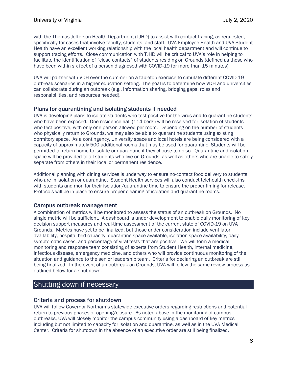with the Thomas Jefferson Health Department (TJHD) to assist with contact tracing, as requested, specifically for cases that involve faculty, students, and staff. UVA Employee Health and UVA Student Health have an excellent working relationship with the local health department and will continue to support tracing efforts. Close communication with TJHD will be critical to UVA's role in helping to facilitate the identification of "close contacts" of students residing on Grounds (defined as those who have been within six feet of a person diagnosed with COVID-19 for more than 15 minutes).

UVA will partner with VDH over the summer on a tabletop exercise to simulate different COVID-19 outbreak scenarios in a higher education setting. The goal is to determine how VDH and universities can collaborate during an outbreak (e.g., information sharing, bridging gaps, roles and responsibilities, and resources needed).

#### <span id="page-9-0"></span>Plans for quarantining and isolating students if needed

UVA is developing plans to isolate students who test positive for the virus and to quarantine students who have been exposed. One residence hall (114 beds) will be reserved for isolation of students who test positive, with only one person allowed per room. Depending on the number of students who physically return to Grounds, we may also be able to quarantine students using existing dormitory space. As a contingency, University space and local hotels are being considered with a capacity of approximately 500 additional rooms that may be used for quarantine. Students will be permitted to return home to isolate or quarantine if they choose to do so. Quarantine and isolation space will be provided to all students who live on Grounds, as well as others who are unable to safely separate from others in their local or permanent residence.

Additional planning with dining services is underway to ensure no-contact food delivery to students who are in isolation or quarantine. Student Health services will also conduct telehealth check-ins with students and monitor their isolation/quarantine time to ensure the proper timing for release. Protocols will be in place to ensure proper cleaning of isolation and quarantine rooms.

#### <span id="page-9-1"></span>Campus outbreak management

A combination of metrics will be monitored to assess the status of an outbreak on Grounds. No single metric will be sufficient. A dashboard is under development to enable daily monitoring of key decision support measures and real-time assessment of the current state of COVID-19 on UVA Grounds. Metrics have yet to be finalized, but those under consideration include ventilator availability, hospital bed capacity, quarantine space available, isolation space availability, daily symptomatic cases, and percentage of viral tests that are positive. We will form a medical monitoring and response team consisting of experts from Student Health, internal medicine, infectious disease, emergency medicine, and others who will provide continuous monitoring of the situation and guidance to the senior leadership team. Criteria for declaring an outbreak are still being finalized. In the event of an outbreak on Grounds, UVA will follow the same review process as outlined below for a shut down.

## <span id="page-9-2"></span>Shutting down if necessary

#### <span id="page-9-3"></span>Criteria and process for shutdown

UVA will follow Governor Northam's statewide executive orders regarding restrictions and potential return to previous phases of opening/closure. As noted above in the monitoring of campus outbreaks, UVA will closely monitor the campus community using a dashboard of key metrics including but not limited to capacity for isolation and quarantine, as well as in the UVA Medical Center. Criteria for shutdown in the absence of an executive order are still being finalized.